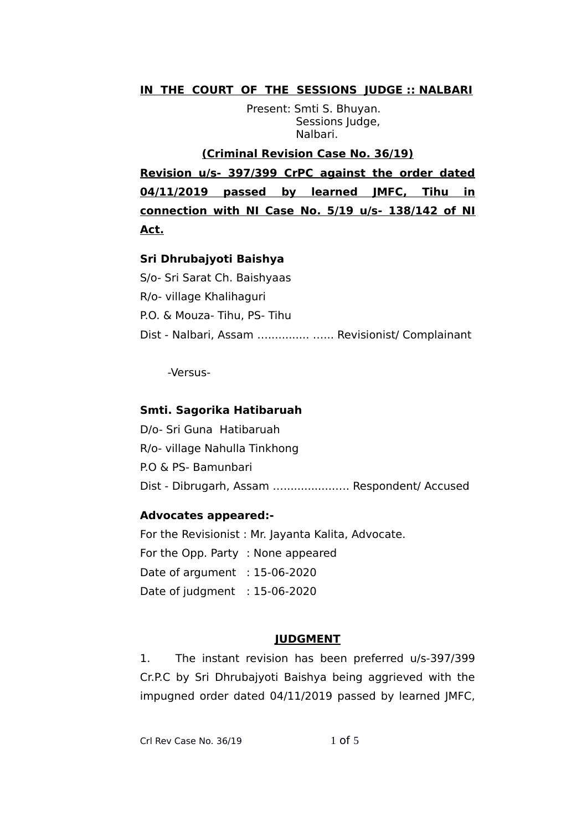# **IN THE COURT OF THE SESSIONS JUDGE :: NALBARI**

Present: Smti S. Bhuyan. Sessions Judge, Nalbari.

# **(Criminal Revision Case No. 36/19)**

**Revision u/s- 397/399 CrPC against the order dated 04/11/2019 passed by learned JMFC, Tihu in connection with NI Case No. 5/19 u/s- 138/142 of NI Act.**

## **Sri Dhrubajyoti Baishya**

S/o- Sri Sarat Ch. Baishyaas R/o- village Khalihaguri P.O. & Mouza- Tihu, PS- Tihu Dist - Nalbari, Assam …............ …... Revisionist/ Complainant

-Versus-

## **Smti. Sagorika Hatibaruah**

D/o- Sri Guna Hatibaruah R/o- village Nahulla Tinkhong P.O & PS- Bamunbari Dist - Dibrugarh, Assam …...............…. Respondent/ Accused

#### **Advocates appeared:-**

For the Revisionist : Mr. Jayanta Kalita, Advocate. For the Opp. Party : None appeared Date of argument : 15-06-2020 Date of judgment : 15-06-2020

#### **JUDGMENT**

1. The instant revision has been preferred u/s-397/399 Cr.P.C by Sri Dhrubajyoti Baishya being aggrieved with the impugned order dated 04/11/2019 passed by learned JMFC,

Crl Rev Case No.  $36/19$  1 of 5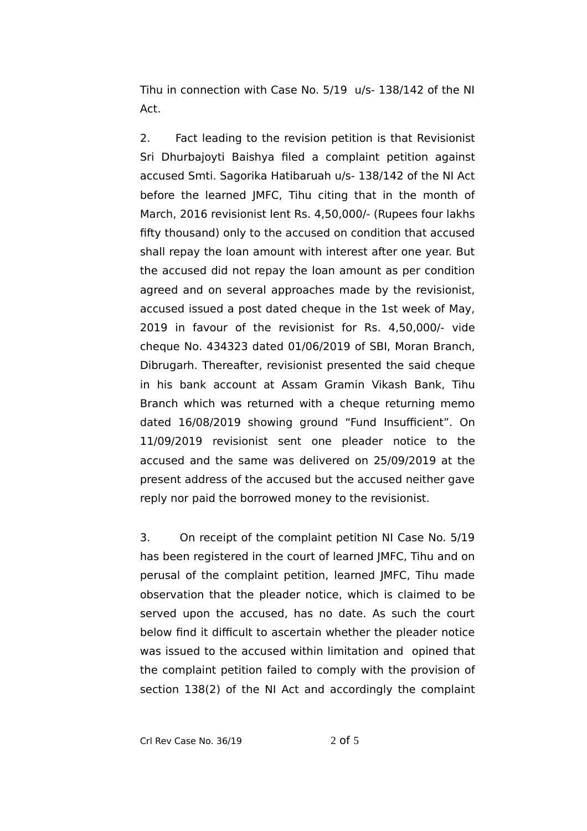Tihu in connection with Case No. 5/19 u/s- 138/142 of the NI Act.

2. Fact leading to the revision petition is that Revisionist Sri Dhurbajoyti Baishya filed a complaint petition against accused Smti. Sagorika Hatibaruah u/s- 138/142 of the NI Act before the learned JMFC, Tihu citing that in the month of March, 2016 revisionist lent Rs. 4,50,000/- (Rupees four lakhs fifty thousand) only to the accused on condition that accused shall repay the loan amount with interest after one year. But the accused did not repay the loan amount as per condition agreed and on several approaches made by the revisionist, accused issued a post dated cheque in the 1st week of May, 2019 in favour of the revisionist for Rs. 4,50,000/- vide cheque No. 434323 dated 01/06/2019 of SBI, Moran Branch, Dibrugarh. Thereafter, revisionist presented the said cheque in his bank account at Assam Gramin Vikash Bank, Tihu Branch which was returned with a cheque returning memo dated 16/08/2019 showing ground "Fund Insufficient". On 11/09/2019 revisionist sent one pleader notice to the accused and the same was delivered on 25/09/2019 at the present address of the accused but the accused neither gave reply nor paid the borrowed money to the revisionist.

3. On receipt of the complaint petition NI Case No. 5/19 has been registered in the court of learned JMFC, Tihu and on perusal of the complaint petition, learned JMFC, Tihu made observation that the pleader notice, which is claimed to be served upon the accused, has no date. As such the court below find it difficult to ascertain whether the pleader notice was issued to the accused within limitation and opined that the complaint petition failed to comply with the provision of section 138(2) of the NI Act and accordingly the complaint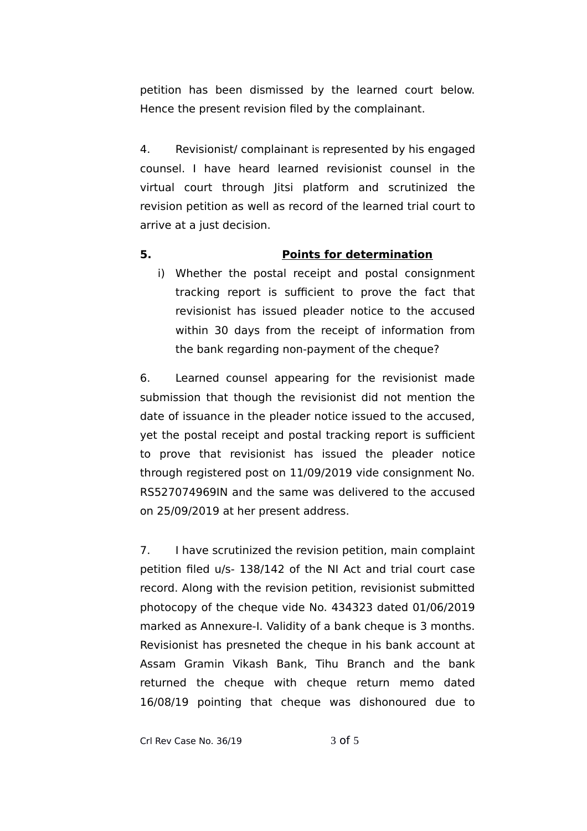petition has been dismissed by the learned court below. Hence the present revision filed by the complainant.

4. Revisionist/ complainant is represented by his engaged counsel. I have heard learned revisionist counsel in the virtual court through Jitsi platform and scrutinized the revision petition as well as record of the learned trial court to arrive at a just decision.

# **5. Points for determination**

i) Whether the postal receipt and postal consignment tracking report is sufficient to prove the fact that revisionist has issued pleader notice to the accused within 30 days from the receipt of information from the bank regarding non-payment of the cheque?

6. Learned counsel appearing for the revisionist made submission that though the revisionist did not mention the date of issuance in the pleader notice issued to the accused, yet the postal receipt and postal tracking report is sufficient to prove that revisionist has issued the pleader notice through registered post on 11/09/2019 vide consignment No. RS527074969IN and the same was delivered to the accused on 25/09/2019 at her present address.

7. I have scrutinized the revision petition, main complaint petition filed u/s- 138/142 of the NI Act and trial court case record. Along with the revision petition, revisionist submitted photocopy of the cheque vide No. 434323 dated 01/06/2019 marked as Annexure-I. Validity of a bank cheque is 3 months. Revisionist has presneted the cheque in his bank account at Assam Gramin Vikash Bank, Tihu Branch and the bank returned the cheque with cheque return memo dated 16/08/19 pointing that cheque was dishonoured due to

Crl Rev Case No. 36/19 3 of 5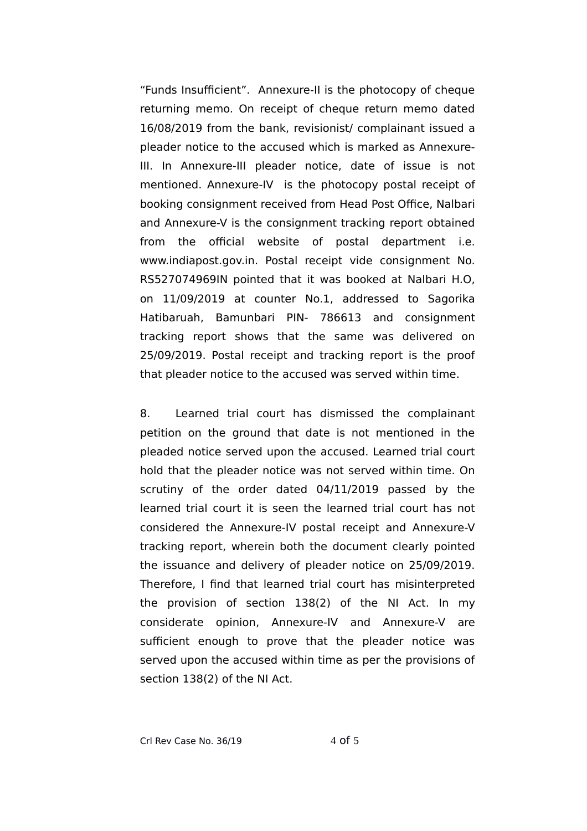"Funds Insufficient". Annexure-II is the photocopy of cheque returning memo. On receipt of cheque return memo dated 16/08/2019 from the bank, revisionist/ complainant issued a pleader notice to the accused which is marked as Annexure-III. In Annexure-III pleader notice, date of issue is not mentioned. Annexure-IV is the photocopy postal receipt of booking consignment received from Head Post Office, Nalbari and Annexure-V is the consignment tracking report obtained from the official website of postal department i.e. www.indiapost.gov.in. Postal receipt vide consignment No. RS527074969IN pointed that it was booked at Nalbari H.O, on 11/09/2019 at counter No.1, addressed to Sagorika Hatibaruah, Bamunbari PIN- 786613 and consignment tracking report shows that the same was delivered on 25/09/2019. Postal receipt and tracking report is the proof that pleader notice to the accused was served within time.

8. Learned trial court has dismissed the complainant petition on the ground that date is not mentioned in the pleaded notice served upon the accused. Learned trial court hold that the pleader notice was not served within time. On scrutiny of the order dated 04/11/2019 passed by the learned trial court it is seen the learned trial court has not considered the Annexure-IV postal receipt and Annexure-V tracking report, wherein both the document clearly pointed the issuance and delivery of pleader notice on 25/09/2019. Therefore, I find that learned trial court has misinterpreted the provision of section 138(2) of the NI Act. In my considerate opinion, Annexure-IV and Annexure-V are sufficient enough to prove that the pleader notice was served upon the accused within time as per the provisions of section 138(2) of the NI Act.